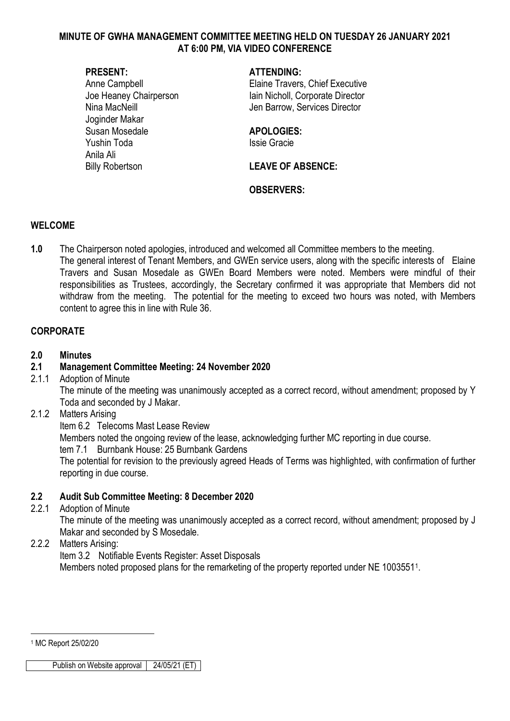#### **MINUTE OF GWHA MANAGEMENT COMMITTEE MEETING HELD ON TUESDAY 26 JANUARY 2021 AT 6:00 PM, VIA VIDEO CONFERENCE**

Joginder Makar Susan Mosedale **APOLOGIES:** Yushin Toda **Issie Gracie** Anila Ali

#### **PRESENT: ATTENDING:**

Anne Campbell **Anne Campbell Elaine Travers, Chief Executive** Joe Heaney Chairperson Iain Nicholl, Corporate Director Nina MacNeill **Nina MacNeill** Jen Barrow, Services Director

Billy Robertson **LEAVE OF ABSENCE:** 

### **OBSERVERS:**

#### **WELCOME**

**1.0** The Chairperson noted apologies, introduced and welcomed all Committee members to the meeting. The general interest of Tenant Members, and GWEn service users, along with the specific interests of Elaine Travers and Susan Mosedale as GWEn Board Members were noted. Members were mindful of their responsibilities as Trustees, accordingly, the Secretary confirmed it was appropriate that Members did not withdraw from the meeting. The potential for the meeting to exceed two hours was noted, with Members content to agree this in line with Rule 36.

#### **CORPORATE**

#### **2.0 Minutes**

### **2.1 Management Committee Meeting: 24 November 2020**

2.1.1 Adoption of Minute

The minute of the meeting was unanimously accepted as a correct record, without amendment; proposed by Y Toda and seconded by J Makar.

#### 2.1.2 Matters Arising

Item 6.2 Telecoms Mast Lease Review

Members noted the ongoing review of the lease, acknowledging further MC reporting in due course.

tem 7.1 Burnbank House: 25 Burnbank Gardens

The potential for revision to the previously agreed Heads of Terms was highlighted, with confirmation of further reporting in due course.

### **2.2 Audit Sub Committee Meeting: 8 December 2020**

2.2.1 Adoption of Minute

The minute of the meeting was unanimously accepted as a correct record, without amendment; proposed by J Makar and seconded by S Mosedale.

### 2.2.2 Matters Arising:

Item 3.2 Notifiable Events Register: Asset Disposals Members noted proposed plans for the remarketing of the property reported under NE [1](#page-0-0)0035511.

<span id="page-0-0"></span><sup>1</sup> MC Report 25/02/20

<u>.</u>

Publish on Website approval 24/05/21 (ET)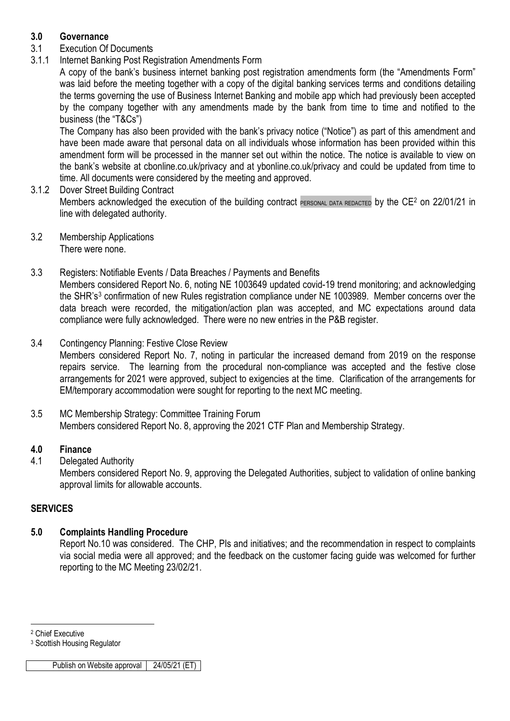# **3.0 Governance**

- 3.1 Execution Of Documents
- 3.1.1 Internet Banking Post Registration Amendments Form

A copy of the bank's business internet banking post registration amendments form (the "Amendments Form" was laid before the meeting together with a copy of the digital banking services terms and conditions detailing the terms governing the use of Business Internet Banking and mobile app which had previously been accepted by the company together with any amendments made by the bank from time to time and notified to the business (the "T&Cs")

The Company has also been provided with the bank's privacy notice ("Notice") as part of this amendment and have been made aware that personal data on all individuals whose information has been provided within this amendment form will be processed in the manner set out within the notice. The notice is available to view on the bank's website at cbonline.co.uk/privacy and at ybonline.co.uk/privacy and could be updated from time to time. All documents were considered by the meeting and approved.

- 3.1.2 Dover Street Building Contract Members acknowledged the execution of the building contract PERSONAL DATA REDACTED by the CE<sup>2</sup> on 22/01/21 in line with delegated authority.
- 3.2 Membership Applications There were none.
- 3.3 Registers: Notifiable Events / Data Breaches / Payments and Benefits Members considered Report No. 6, noting NE 1003649 updated covid-19 trend monitoring; and acknowledging the SHR's[3](#page-1-1) confirmation of new Rules registration compliance under NE 1003989. Member concerns over the data breach were recorded, the mitigation/action plan was accepted, and MC expectations around data compliance were fully acknowledged. There were no new entries in the P&B register.
- 3.4 Contingency Planning: Festive Close Review Members considered Report No. 7, noting in particular the increased demand from 2019 on the response repairs service. The learning from the procedural non-compliance was accepted and the festive close arrangements for 2021 were approved, subject to exigencies at the time. Clarification of the arrangements for EM/temporary accommodation were sought for reporting to the next MC meeting.
- 3.5 MC Membership Strategy: Committee Training Forum Members considered Report No. 8, approving the 2021 CTF Plan and Membership Strategy.

# **4.0 Finance**

4.1 Delegated Authority

Members considered Report No. 9, approving the Delegated Authorities, subject to validation of online banking approval limits for allowable accounts.

# **SERVICES**

# **5.0 Complaints Handling Procedure**

Report No.10 was considered. The CHP, PIs and initiatives; and the recommendation in respect to complaints via social media were all approved; and the feedback on the customer facing guide was welcomed for further reporting to the MC Meeting 23/02/21.

<span id="page-1-0"></span><sup>-</sup><sup>2</sup> Chief Executive

<span id="page-1-1"></span><sup>3</sup> Scottish Housing Regulator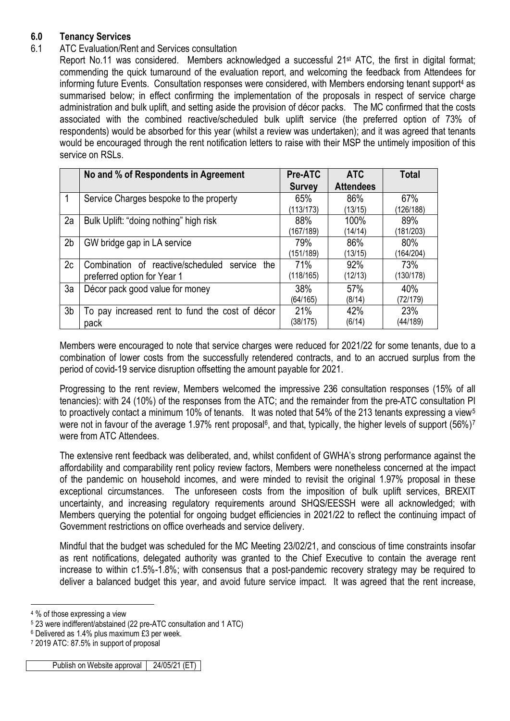# **6.0 Tenancy Services**

# 6.1 ATC Evaluation/Rent and Services consultation

Report No.11 was considered. Members acknowledged a successful 21<sup>st</sup> ATC, the first in digital format; commending the quick turnaround of the evaluation report, and welcoming the feedback from Attendees for informing future Events. Consultation responses were considered, with Members endorsing tenant support[4](#page-2-0) as summarised below; in effect confirming the implementation of the proposals in respect of service charge administration and bulk uplift, and setting aside the provision of décor packs. The MC confirmed that the costs associated with the combined reactive/scheduled bulk uplift service (the preferred option of 73% of respondents) would be absorbed for this year (whilst a review was undertaken); and it was agreed that tenants would be encouraged through the rent notification letters to raise with their MSP the untimely imposition of this service on RSLs.

|                | No and % of Respondents in Agreement                | <b>Pre-ATC</b> | <b>ATC</b>       | <b>Total</b> |
|----------------|-----------------------------------------------------|----------------|------------------|--------------|
|                |                                                     | <b>Survey</b>  | <b>Attendees</b> |              |
| 1              | Service Charges bespoke to the property             | 65%            | 86%              | 67%          |
|                |                                                     | (113/173)      | (13/15)          | (126/188)    |
| 2a             | Bulk Uplift: "doing nothing" high risk              | 88%            | 100%             | 89%          |
|                |                                                     | (167/189)      | (14/14)          | (181/203)    |
| 2 <sub>b</sub> | GW bridge gap in LA service                         | 79%            | 86%              | 80%          |
|                |                                                     | (151/189)      | (13/15)          | (164/204)    |
| 2c             | Combination of reactive/scheduled<br>service<br>the | 71%            | 92%              | 73%          |
|                | preferred option for Year 1                         | (118/165)      | (12/13)          | (130/178)    |
| 3a             | Décor pack good value for money                     | 38%            | 57%              | 40%          |
|                |                                                     | (64/165)       | (8/14)           | (72/179)     |
| 3 <sub>b</sub> | To pay increased rent to fund the cost of décor     | 21%            | 42%              | 23%          |
|                | pack                                                | (38/175)       | (6/14)           | (44/189)     |

Members were encouraged to note that service charges were reduced for 2021/22 for some tenants, due to a combination of lower costs from the successfully retendered contracts, and to an accrued surplus from the period of covid-19 service disruption offsetting the amount payable for 2021.

Progressing to the rent review, Members welcomed the impressive 236 consultation responses (15% of all tenancies): with 24 (10%) of the responses from the ATC; and the remainder from the pre-ATC consultation PI to proactively contact a minimum 10% of tenants. It was noted that [5](#page-2-1)4% of the 213 tenants expressing a view<sup>5</sup> were not in favour of the average 1.9[7](#page-2-3)% rent proposal<sup>6</sup>, and that, typically, the higher levels of support (56%)<sup>7</sup> were from ATC Attendees.

The extensive rent feedback was deliberated, and, whilst confident of GWHA's strong performance against the affordability and comparability rent policy review factors, Members were nonetheless concerned at the impact of the pandemic on household incomes, and were minded to revisit the original 1.97% proposal in these exceptional circumstances. The unforeseen costs from the imposition of bulk uplift services, BREXIT uncertainty, and increasing regulatory requirements around SHQS/EESSH were all acknowledged; with Members querying the potential for ongoing budget efficiencies in 2021/22 to reflect the continuing impact of Government restrictions on office overheads and service delivery.

Mindful that the budget was scheduled for the MC Meeting 23/02/21, and conscious of time constraints insofar as rent notifications, delegated authority was granted to the Chief Executive to contain the average rent increase to within c1.5%-1.8%; with consensus that a post-pandemic recovery strategy may be required to deliver a balanced budget this year, and avoid future service impact. It was agreed that the rent increase,

<sup>-</sup><sup>4</sup> % of those expressing a view

<span id="page-2-1"></span><span id="page-2-0"></span><sup>5</sup> 23 were indifferent/abstained (22 pre-ATC consultation and 1 ATC)

<span id="page-2-2"></span><sup>6</sup> Delivered as 1.4% plus maximum £3 per week.

<span id="page-2-3"></span><sup>7</sup> 2019 ATC: 87.5% in support of proposal